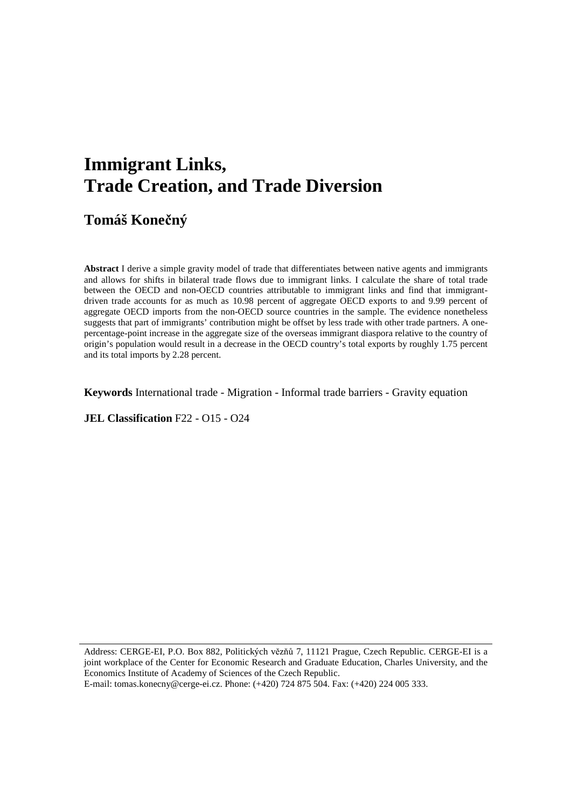# **Immigrant Links, Trade Creation, and Trade Diversion**

**Tomáš Konečný** 

**Abstract** I derive a simple gravity model of trade that differentiates between native agents and immigrants and allows for shifts in bilateral trade flows due to immigrant links. I calculate the share of total trade between the OECD and non-OECD countries attributable to immigrant links and find that immigrantdriven trade accounts for as much as 10.98 percent of aggregate OECD exports to and 9.99 percent of aggregate OECD imports from the non-OECD source countries in the sample. The evidence nonetheless suggests that part of immigrants' contribution might be offset by less trade with other trade partners. A onepercentage-point increase in the aggregate size of the overseas immigrant diaspora relative to the country of origin's population would result in a decrease in the OECD country's total exports by roughly 1.75 percent and its total imports by 2.28 percent.

**Keywords** International trade - Migration - Informal trade barriers - Gravity equation

**JEL Classification** F22 - O15 - O24

Address: CERGE-EI, P.O. Box 882, Politických vězňů 7, 11121 Prague, Czech Republic. CERGE-EI is a joint workplace of the Center for Economic Research and Graduate Education, Charles University, and the Economics Institute of Academy of Sciences of the Czech Republic. E-mail: tomas.konecny@cerge-ei.cz. Phone: (+420) 724 875 504. Fax: (+420) 224 005 333.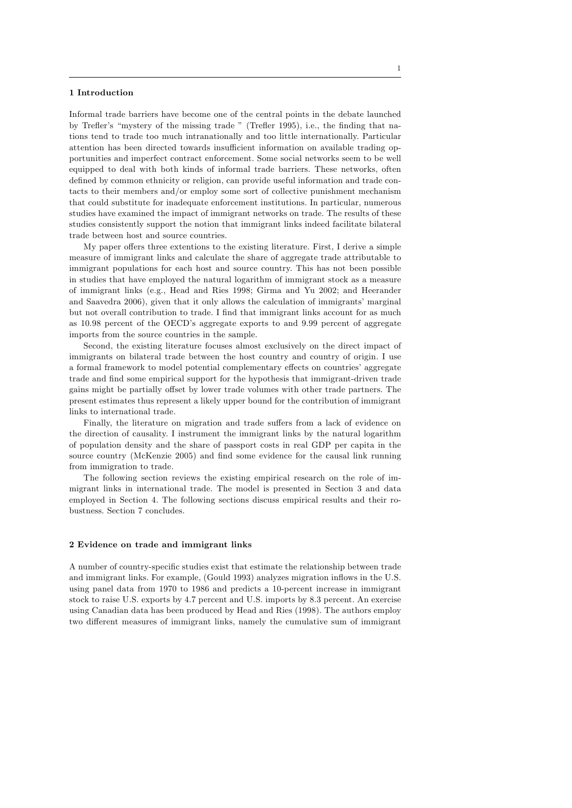## 1 Introduction

Informal trade barriers have become one of the central points in the debate launched by Trefler's "mystery of the missing trade " (Trefler 1995), i.e., the finding that nations tend to trade too much intranationally and too little internationally. Particular attention has been directed towards insufficient information on available trading opportunities and imperfect contract enforcement. Some social networks seem to be well equipped to deal with both kinds of informal trade barriers. These networks, often defined by common ethnicity or religion, can provide useful information and trade contacts to their members and/or employ some sort of collective punishment mechanism that could substitute for inadequate enforcement institutions. In particular, numerous studies have examined the impact of immigrant networks on trade. The results of these studies consistently support the notion that immigrant links indeed facilitate bilateral trade between host and source countries.

My paper offers three extentions to the existing literature. First, I derive a simple measure of immigrant links and calculate the share of aggregate trade attributable to immigrant populations for each host and source country. This has not been possible in studies that have employed the natural logarithm of immigrant stock as a measure of immigrant links (e.g., Head and Ries 1998; Girma and Yu 2002; and Heerander and Saavedra 2006), given that it only allows the calculation of immigrants' marginal but not overall contribution to trade. I find that immigrant links account for as much as 10.98 percent of the OECDís aggregate exports to and 9.99 percent of aggregate imports from the source countries in the sample.

Second, the existing literature focuses almost exclusively on the direct impact of immigrants on bilateral trade between the host country and country of origin. I use a formal framework to model potential complementary effects on countries' aggregate trade and Önd some empirical support for the hypothesis that immigrant-driven trade gains might be partially offset by lower trade volumes with other trade partners. The present estimates thus represent a likely upper bound for the contribution of immigrant links to international trade.

Finally, the literature on migration and trade suffers from a lack of evidence on the direction of causality. I instrument the immigrant links by the natural logarithm of population density and the share of passport costs in real GDP per capita in the source country (McKenzie 2005) and find some evidence for the causal link running from immigration to trade.

The following section reviews the existing empirical research on the role of immigrant links in international trade. The model is presented in Section 3 and data employed in Section 4. The following sections discuss empirical results and their robustness. Section 7 concludes.

## 2 Evidence on trade and immigrant links

A number of country-specific studies exist that estimate the relationship between trade and immigrant links. For example, (Gould 1993) analyzes migration ináows in the U.S. using panel data from 1970 to 1986 and predicts a 10-percent increase in immigrant stock to raise U.S. exports by 4.7 percent and U.S. imports by 8.3 percent. An exercise using Canadian data has been produced by Head and Ries (1998). The authors employ two different measures of immigrant links, namely the cumulative sum of immigrant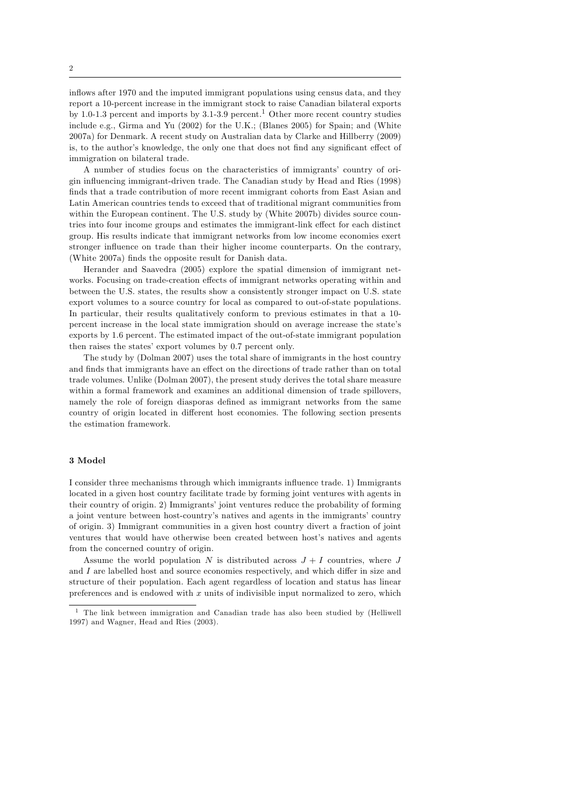inflows after 1970 and the imputed immigrant populations using census data, and they report a 10-percent increase in the immigrant stock to raise Canadian bilateral exports by 1.0-1.3 percent and imports by  $3.1$ -3.9 percent.<sup>1</sup> Other more recent country studies include e.g., Girma and Yu (2002) for the U.K.; (Blanes 2005) for Spain; and (White 2007a) for Denmark. A recent study on Australian data by Clarke and Hillberry (2009) is, to the author's knowledge, the only one that does not find any significant effect of immigration on bilateral trade.

A number of studies focus on the characteristics of immigrants' country of origin ináuencing immigrant-driven trade. The Canadian study by Head and Ries (1998) finds that a trade contribution of more recent immigrant cohorts from East Asian and Latin American countries tends to exceed that of traditional migrant communities from within the European continent. The U.S. study by (White 2007b) divides source countries into four income groups and estimates the immigrant-link effect for each distinct group. His results indicate that immigrant networks from low income economies exert stronger influence on trade than their higher income counterparts. On the contrary, (White 2007a) finds the opposite result for Danish data.

Herander and Saavedra (2005) explore the spatial dimension of immigrant networks. Focusing on trade-creation effects of immigrant networks operating within and between the U.S. states, the results show a consistently stronger impact on U.S. state export volumes to a source country for local as compared to out-of-state populations. In particular, their results qualitatively conform to previous estimates in that a 10 percent increase in the local state immigration should on average increase the stateís exports by 1.6 percent. The estimated impact of the out-of-state immigrant population then raises the states' export volumes by 0.7 percent only.

The study by (Dolman 2007) uses the total share of immigrants in the host country and finds that immigrants have an effect on the directions of trade rather than on total trade volumes. Unlike (Dolman 2007), the present study derives the total share measure within a formal framework and examines an additional dimension of trade spillovers, namely the role of foreign diasporas defined as immigrant networks from the same country of origin located in different host economies. The following section presents the estimation framework.

# 3 Model

I consider three mechanisms through which immigrants ináuence trade. 1) Immigrants located in a given host country facilitate trade by forming joint ventures with agents in their country of origin. 2) Immigrants' joint ventures reduce the probability of forming a joint venture between host-country's natives and agents in the immigrants' country of origin. 3) Immigrant communities in a given host country divert a fraction of joint ventures that would have otherwise been created between host's natives and agents from the concerned country of origin.

Assume the world population N is distributed across  $J + I$  countries, where J and  $I$  are labelled host and source economies respectively, and which differ in size and structure of their population. Each agent regardless of location and status has linear preferences and is endowed with  $x$  units of indivisible input normalized to zero, which

<sup>1</sup> The link between immigration and Canadian trade has also been studied by (Helliwell 1997) and Wagner, Head and Ries (2003).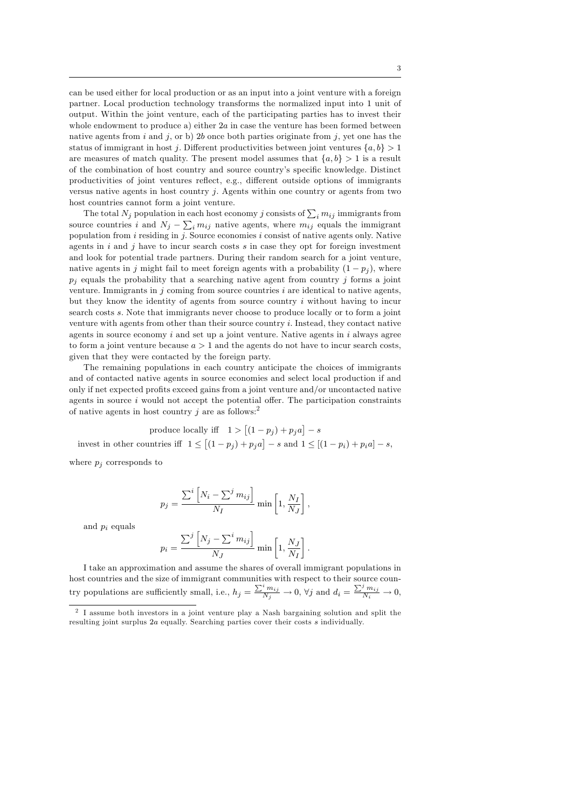can be used either for local production or as an input into a joint venture with a foreign partner. Local production technology transforms the normalized input into 1 unit of output. Within the joint venture, each of the participating parties has to invest their whole endowment to produce a) either  $2a$  in case the venture has been formed between native agents from i and j, or b) 2b once both parties originate from j, yet one has the status of immigrant in host j. Different productivities between joint ventures  $\{a, b\} > 1$ are measures of match quality. The present model assumes that  $\{a, b\} > 1$  is a result of the combination of host country and source country's specific knowledge. Distinct productivities of joint ventures reflect, e.g., different outside options of immigrants versus native agents in host country  $j$ . Agents within one country or agents from two host countries cannot form a joint venture.

The total  $N_j$  population in each host economy  $j$  consists of  $\sum_i m_{ij}$  immigrants from source countries i and  $N_j - \sum_i m_{ij}$  native agents, where  $m_{ij}$  equals the immigrant population from  $i$  residing in  $j$ . Source economies  $i$  consist of native agents only. Native agents in  $i$  and  $j$  have to incur search costs  $s$  in case they opt for foreign investment and look for potential trade partners. During their random search for a joint venture, native agents in j might fail to meet foreign agents with a probability  $(1 - p_i)$ , where  $p_i$  equals the probability that a searching native agent from country j forms a joint venture. Immigrants in j coming from source countries  $i$  are identical to native agents, but they know the identity of agents from source country i without having to incur search costs s. Note that immigrants never choose to produce locally or to form a joint venture with agents from other than their source country i. Instead, they contact native agents in source economy  $i$  and set up a joint venture. Native agents in  $i$  always agree to form a joint venture because  $a > 1$  and the agents do not have to incur search costs, given that they were contacted by the foreign party.

The remaining populations in each country anticipate the choices of immigrants and of contacted native agents in source economies and select local production if and only if net expected profits exceed gains from a joint venture and/or uncontacted native agents in source  $i$  would not accept the potential offer. The participation constraints of native agents in host country j are as follows:<sup>2</sup>

produce locally iff  $1 > [(1 - p_j) + p_j a] - s$ invest in other countries iff  $1 \le [(1-p_j)+p_j a] - s$  and  $1 \le [(1-p_i)+p_i a] - s$ ,

where  $p_i$  corresponds to

$$
p_j = \frac{\sum^i \left[ N_i - \sum^j m_{ij} \right]}{N_I} \min \left[ 1, \frac{N_I}{N_J} \right],
$$

and  $p_i$  equals

$$
p_i = \frac{\sum^j \left[ N_j - \sum^i m_{ij} \right]}{N_J} \min \left[ 1, \frac{N_J}{N_I} \right].
$$

I take an approximation and assume the shares of overall immigrant populations in host countries and the size of immigrant communities with respect to their source country populations are sufficiently small, i.e.,  $h_j = \frac{\sum_i^i m_{ij}}{N_j} \to 0$ ,  $\forall j$  and  $d_i = \frac{\sum_i^j m_{ij}}{N_i} \to 0$ ,

<sup>2</sup> I assume both investors in a joint venture play a Nash bargaining solution and split the resulting joint surplus 2a equally. Searching parties cover their costs s individually.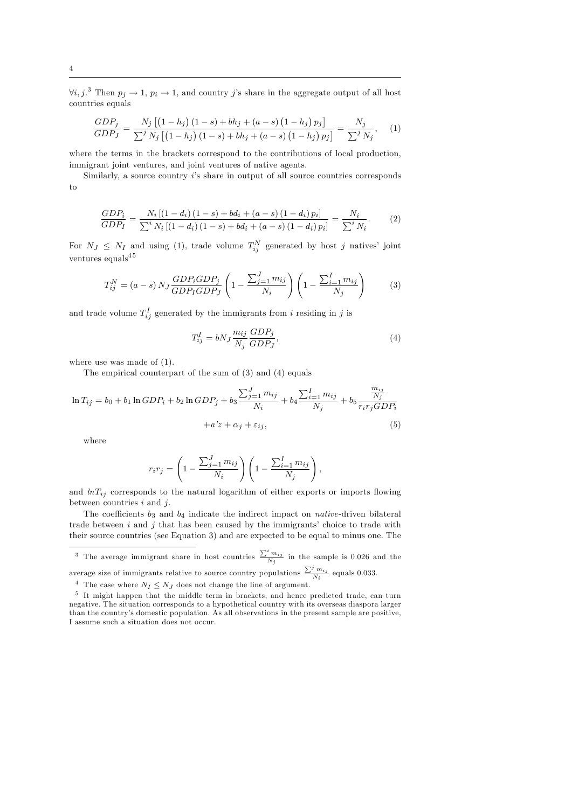$\forall i, j$ .<sup>3</sup> Then  $p_j \to 1$ ,  $p_i \to 1$ , and country j's share in the aggregate output of all host countries equals

$$
\frac{GDP_j}{GDP_J} = \frac{N_j \left[ (1 - h_j) (1 - s) + bh_j + (a - s) (1 - h_j) p_j \right]}{\sum^j N_j \left[ (1 - h_j) (1 - s) + bh_j + (a - s) (1 - h_j) p_j \right]} = \frac{N_j}{\sum^j N_j}, \quad (1)
$$

where the terms in the brackets correspond to the contributions of local production, immigrant joint ventures, and joint ventures of native agents.

Similarly, a source country  $i$ 's share in output of all source countries corresponds to

$$
\frac{GDP_i}{GDP_I} = \frac{N_i \left[ (1 - d_i) (1 - s) + bd_i + (a - s) (1 - d_i) p_i \right]}{\sum^i N_i \left[ (1 - d_i) (1 - s) + bd_i + (a - s) (1 - d_i) p_i \right]} = \frac{N_i}{\sum^i N_i}.
$$
 (2)

For  $N_J \leq N_I$  and using (1), trade volume  $T_{ij}^N$  generated by host j natives' joint ventures equals  $\rm ^{4\,5}$ 

$$
T_{ij}^N = (a-s) N_J \frac{GDP_i GDP_j}{GDP_I GDP_J} \left(1 - \frac{\sum_{j=1}^J m_{ij}}{N_i}\right) \left(1 - \frac{\sum_{i=1}^I m_{ij}}{N_j}\right) \tag{3}
$$

and trade volume  $T_{ij}^I$  generated by the immigrants from i residing in j is

$$
T_{ij}^I = bN_J \frac{m_{ij}}{N_j} \frac{GDP_j}{GDP_J},\tag{4}
$$

where use was made of  $(1)$ .

The empirical counterpart of the sum of (3) and (4) equals

$$
\ln T_{ij} = b_0 + b_1 \ln GDP_i + b_2 \ln GDP_j + b_3 \frac{\sum_{j=1}^{J} m_{ij}}{N_i} + b_4 \frac{\sum_{i=1}^{I} m_{ij}}{N_j} + b_5 \frac{\frac{m_{ij}}{N_j}}{r_i r_j GDP_i} + a' z + \alpha_j + \varepsilon_{ij},
$$
\n(5)

where

$$
r_i r_j = \left(1 - \frac{\sum_{j=1}^J m_{ij}}{N_i}\right) \left(1 - \frac{\sum_{i=1}^I m_{ij}}{N_j}\right),\,
$$

and  $lnT_{ij}$  corresponds to the natural logarithm of either exports or imports flowing between countries  $i$  and  $j$ .

The coefficients  $b_3$  and  $b_4$  indicate the indirect impact on *native*-driven bilateral trade between  $i$  and  $j$  that has been caused by the immigrants' choice to trade with their source countries (see Equation 3) and are expected to be equal to minus one. The

<sup>3</sup> The average immigrant share in host countries  $\frac{\sum_{i=1}^{i} m_{ij}}{N_j}$  in the sample is 0.026 and the average size of immigrants relative to source country populations  $\frac{\sum_{i=1}^{j} m_{ij}}{N_i}$  equals 0.033.

<sup>4</sup> The case where  $N_I \leq N_J$  does not change the line of argument.

<sup>&</sup>lt;sup>5</sup> It might happen that the middle term in brackets, and hence predicted trade, can turn negative. The situation corresponds to a hypothetical country with its overseas diaspora larger than the country's domestic population. As all observations in the present sample are positive, I assume such a situation does not occur.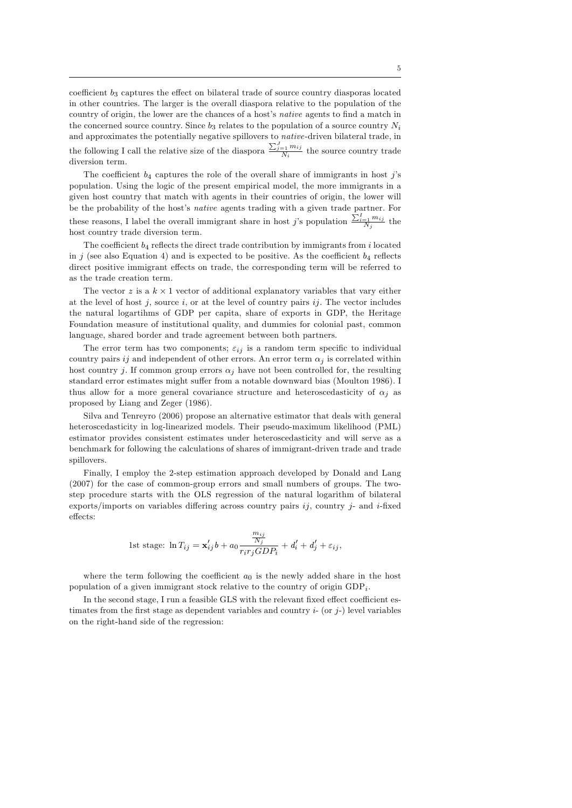coefficient  $b_3$  captures the effect on bilateral trade of source country diasporas located in other countries. The larger is the overall diaspora relative to the population of the country of origin, the lower are the chances of a host's *native* agents to find a match in the concerned source country. Since  $b_3$  relates to the population of a source country  $N_i$ and approximates the potentially negative spillovers to native-driven bilateral trade, in the following I call the relative size of the diaspora  $\frac{\sum_{j=1}^{J} m_{ij}}{N_i}$  the source country trade diversion term.

The coefficient  $b_4$  captures the role of the overall share of immigrants in host j's population. Using the logic of the present empirical model, the more immigrants in a given host country that match with agents in their countries of origin, the lower will be the probability of the host's *native* agents trading with a given trade partner. For these reasons, I label the overall immigrant share in host j's population  $\frac{\sum_{i=1}^{I} m_{ij}}{N_j}$  the host country trade diversion term.

The coefficient  $b_4$  reflects the direct trade contribution by immigrants from i located in j (see also Equation 4) and is expected to be positive. As the coefficient  $b_4$  reflects direct positive immigrant effects on trade, the corresponding term will be referred to as the trade creation term.

The vector  $z$  is a  $k \times 1$  vector of additional explanatory variables that vary either at the level of host j, source i, or at the level of country pairs ij. The vector includes the natural logartihms of GDP per capita, share of exports in GDP, the Heritage Foundation measure of institutional quality, and dummies for colonial past, common language, shared border and trade agreement between both partners.

The error term has two components;  $\varepsilon_{ij}$  is a random term specific to individual country pairs ij and independent of other errors. An error term  $\alpha_j$  is correlated within host country j. If common group errors  $\alpha_j$  have not been controlled for, the resulting standard error estimates might suffer from a notable downward bias (Moulton 1986). I thus allow for a more general covariance structure and heteroscedasticity of  $\alpha_i$  as proposed by Liang and Zeger (1986).

Silva and Tenreyro (2006) propose an alternative estimator that deals with general heteroscedasticity in log-linearized models. Their pseudo-maximum likelihood (PML) estimator provides consistent estimates under heteroscedasticity and will serve as a benchmark for following the calculations of shares of immigrant-driven trade and trade spillovers.

Finally, I employ the 2-step estimation approach developed by Donald and Lang (2007) for the case of common-group errors and small numbers of groups. The twostep procedure starts with the OLS regression of the natural logarithm of bilateral exports/imports on variables differing across country pairs  $ij$ , country j- and i-fixed effects:

1st stage: 
$$
\ln T_{ij} = \mathbf{x}'_{ij}b + a_0 \frac{m_{ij}}{r_i r_j GDP_i} + d'_i + d'_j + \varepsilon_{ij}
$$
,

where the term following the coefficient  $a_0$  is the newly added share in the host population of a given immigrant stock relative to the country of origin  $GDP_i$ .

In the second stage, I run a feasible GLS with the relevant fixed effect coefficient estimates from the first stage as dependent variables and country  $i$ - (or  $j$ -) level variables on the right-hand side of the regression: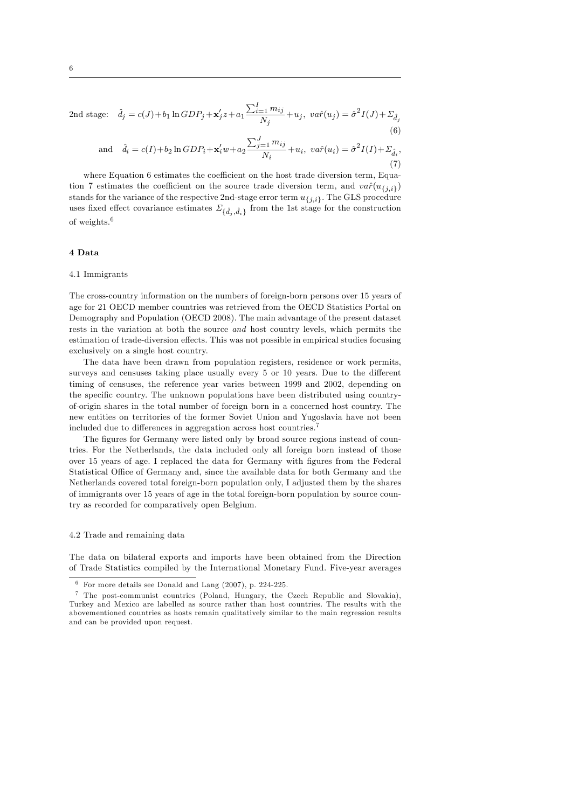2nd stage: 
$$
\hat{d}_j = c(J) + b_1 \ln GDP_j + \mathbf{x}'_j z + a_1 \frac{\sum_{i=1}^{I} m_{ij}}{N_j} + u_j, \ \text{var}(u_j) = \hat{\sigma}^2 I(J) + \Sigma_{\hat{d}_j}
$$
 (6)

and 
$$
\hat{d}_i = c(I) + b_2 \ln GDP_i + \mathbf{x}'_i w + a_2 \frac{\sum_{j=1}^J m_{ij}}{N_i} + u_i, \ v a \hat{r}(u_i) = \hat{\sigma}^2 I(I) + \sum_{\hat{d}_i},
$$
\n
$$
(7)
$$

where Equation 6 estimates the coefficient on the host trade diversion term, Equation 7 estimates the coefficient on the source trade diversion term, and  $\text{var}(u_{\{j,i\}})$ stands for the variance of the respective 2nd-stage error term  $u_{\{j,i\}}$ . The GLS procedure uses fixed effect covariance estimates  $\Sigma_{\{\hat{d}_j, \hat{d}_i\}}$  from the 1st stage for the construction of weights.<sup>6</sup>

## 4 Data

#### 4.1 Immigrants

The cross-country information on the numbers of foreign-born persons over 15 years of age for 21 OECD member countries was retrieved from the OECD Statistics Portal on Demography and Population (OECD 2008). The main advantage of the present dataset rests in the variation at both the source and host country levels, which permits the estimation of trade-diversion effects. This was not possible in empirical studies focusing exclusively on a single host country.

The data have been drawn from population registers, residence or work permits, surveys and censuses taking place usually every  $5$  or  $10$  years. Due to the different timing of censuses, the reference year varies between 1999 and 2002, depending on the specific country. The unknown populations have been distributed using countryof-origin shares in the total number of foreign born in a concerned host country. The new entities on territories of the former Soviet Union and Yugoslavia have not been included due to differences in aggregation across host countries.<sup>7</sup>

The figures for Germany were listed only by broad source regions instead of countries. For the Netherlands, the data included only all foreign born instead of those over 15 years of age. I replaced the data for Germany with figures from the Federal Statistical Office of Germany and, since the available data for both Germany and the Netherlands covered total foreign-born population only, I adjusted them by the shares of immigrants over 15 years of age in the total foreign-born population by source country as recorded for comparatively open Belgium.

### 4.2 Trade and remaining data

The data on bilateral exports and imports have been obtained from the Direction of Trade Statistics compiled by the International Monetary Fund. Five-year averages

 $6$  For more details see Donald and Lang (2007), p. 224-225.

<sup>7</sup> The post-communist countries (Poland, Hungary, the Czech Republic and Slovakia), Turkey and Mexico are labelled as source rather than host countries. The results with the abovementioned countries as hosts remain qualitatively similar to the main regression results and can be provided upon request.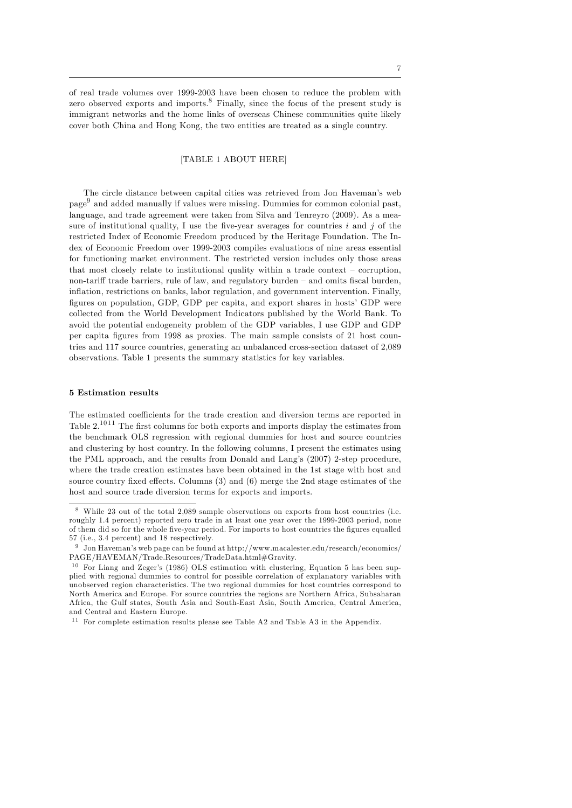of real trade volumes over 1999-2003 have been chosen to reduce the problem with zero observed exports and imports.<sup>8</sup> Finally, since the focus of the present study is immigrant networks and the home links of overseas Chinese communities quite likely cover both China and Hong Kong, the two entities are treated as a single country.

# [TABLE 1 ABOUT HERE]

The circle distance between capital cities was retrieved from Jon Haveman's web page<sup>9</sup> and added manually if values were missing. Dummies for common colonial past, language, and trade agreement were taken from Silva and Tenreyro (2009). As a measure of institutional quality, I use the five-year averages for countries  $i$  and  $j$  of the restricted Index of Economic Freedom produced by the Heritage Foundation. The Index of Economic Freedom over 1999-2003 compiles evaluations of nine areas essential for functioning market environment. The restricted version includes only those areas that most closely relate to institutional quality within a trade context  $\sim$  corruption, non-tariff trade barriers, rule of law, and regulatory burden  $-$  and omits fiscal burden, inflation, restrictions on banks, labor regulation, and government intervention. Finally, figures on population, GDP, GDP per capita, and export shares in hosts' GDP were collected from the World Development Indicators published by the World Bank. To avoid the potential endogeneity problem of the GDP variables, I use GDP and GDP per capita Ögures from 1998 as proxies. The main sample consists of 21 host countries and 117 source countries, generating an unbalanced cross-section dataset of 2,089 observations. Table 1 presents the summary statistics for key variables.

# 5 Estimation results

The estimated coefficients for the trade creation and diversion terms are reported in Table  $2^{1011}$  The first columns for both exports and imports display the estimates from the benchmark OLS regression with regional dummies for host and source countries and clustering by host country. In the following columns, I present the estimates using the PML approach, and the results from Donald and Langís (2007) 2-step procedure, where the trade creation estimates have been obtained in the 1st stage with host and source country fixed effects. Columns  $(3)$  and  $(6)$  merge the 2nd stage estimates of the host and source trade diversion terms for exports and imports.

<sup>8</sup> While 23 out of the total 2,089 sample observations on exports from host countries (i.e. roughly 1.4 percent) reported zero trade in at least one year over the 1999-2003 period, none of them did so for the whole five-year period. For imports to host countries the figures equalled 57 (i.e., 3.4 percent) and 18 respectively.

 $^9\,$  Jon Haveman's web page can be found at http://www.macalester.edu/research/economics/ PAGE/HAVEMAN/Trade.Resources/TradeData.html#Gravity.

 $10$  For Liang and Zeger's (1986) OLS estimation with clustering, Equation 5 has been supplied with regional dummies to control for possible correlation of explanatory variables with unobserved region characteristics. The two regional dummies for host countries correspond to North America and Europe. For source countries the regions are Northern Africa, Subsaharan Africa, the Gulf states, South Asia and South-East Asia, South America, Central America, and Central and Eastern Europe.

<sup>&</sup>lt;sup>11</sup> For complete estimation results please see Table A2 and Table A3 in the Appendix.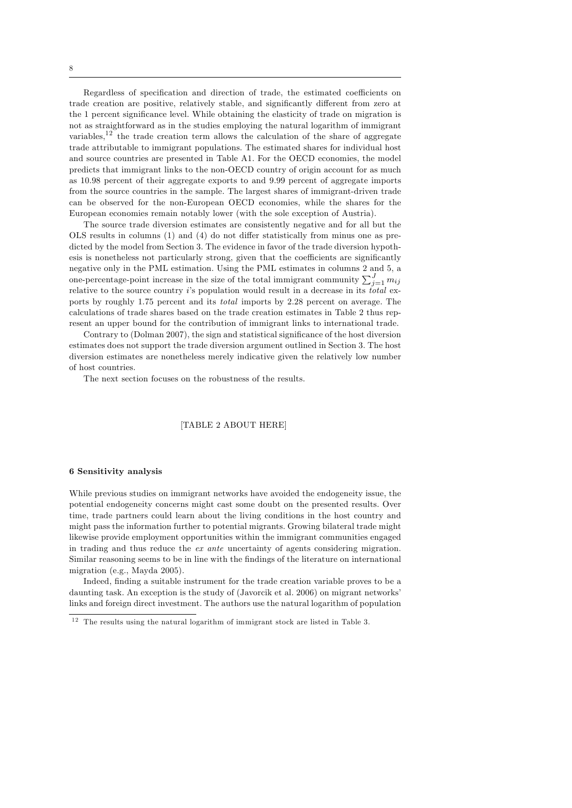Regardless of specification and direction of trade, the estimated coefficients on trade creation are positive, relatively stable, and significantly different from zero at the 1 percent significance level. While obtaining the elasticity of trade on migration is not as straightforward as in the studies employing the natural logarithm of immigrant variables,<sup>12</sup> the trade creation term allows the calculation of the share of aggregate trade attributable to immigrant populations. The estimated shares for individual host and source countries are presented in Table A1. For the OECD economies, the model predicts that immigrant links to the non-OECD country of origin account for as much as 10.98 percent of their aggregate exports to and 9.99 percent of aggregate imports from the source countries in the sample. The largest shares of immigrant-driven trade can be observed for the non-European OECD economies, while the shares for the European economies remain notably lower (with the sole exception of Austria).

The source trade diversion estimates are consistently negative and for all but the OLS results in columns  $(1)$  and  $(4)$  do not differ statistically from minus one as predicted by the model from Section 3. The evidence in favor of the trade diversion hypothesis is nonetheless not particularly strong, given that the coefficients are significantly negative only in the PML estimation. Using the PML estimates in columns 2 and 5, a one-percentage-point increase in the size of the total immigrant community  $\sum_{j=1}^{J} m_{ij}$ relative to the source country is population would result in a decrease in its *total* exports by roughly 1.75 percent and its total imports by 2.28 percent on average. The calculations of trade shares based on the trade creation estimates in Table 2 thus represent an upper bound for the contribution of immigrant links to international trade.

Contrary to (Dolman 2007), the sign and statistical significance of the host diversion estimates does not support the trade diversion argument outlined in Section 3. The host diversion estimates are nonetheless merely indicative given the relatively low number of host countries.

The next section focuses on the robustness of the results.

# [TABLE 2 ABOUT HERE]

# 6 Sensitivity analysis

While previous studies on immigrant networks have avoided the endogeneity issue, the potential endogeneity concerns might cast some doubt on the presented results. Over time, trade partners could learn about the living conditions in the host country and might pass the information further to potential migrants. Growing bilateral trade might likewise provide employment opportunities within the immigrant communities engaged in trading and thus reduce the ex ante uncertainty of agents considering migration. Similar reasoning seems to be in line with the findings of the literature on international migration (e.g., Mayda 2005).

Indeed, finding a suitable instrument for the trade creation variable proves to be a daunting task. An exception is the study of (Javorcik et al. 2006) on migrant networks links and foreign direct investment. The authors use the natural logarithm of population

 $12$  The results using the natural logarithm of immigrant stock are listed in Table 3.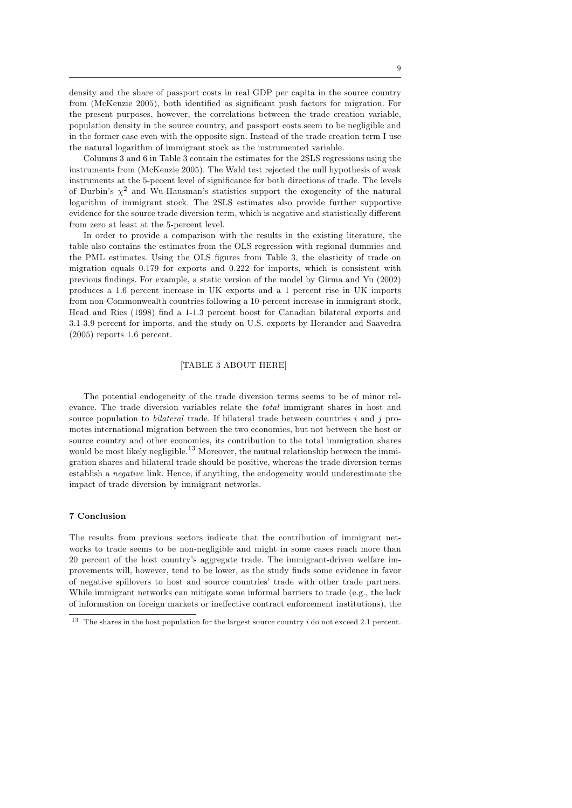density and the share of passport costs in real GDP per capita in the source country from (McKenzie 2005), both identified as significant push factors for migration. For the present purposes, however, the correlations between the trade creation variable, population density in the source country, and passport costs seem to be negligible and in the former case even with the opposite sign. Instead of the trade creation term I use the natural logarithm of immigrant stock as the instrumented variable.

Columns 3 and 6 in Table 3 contain the estimates for the 2SLS regressions using the instruments from (McKenzie 2005). The Wald test rejected the null hypothesis of weak instruments at the 5-pecent level of significance for both directions of trade. The levels of Durbin's  $\chi^2$  and Wu-Hausman's statistics support the exogeneity of the natural logarithm of immigrant stock. The 2SLS estimates also provide further supportive evidence for the source trade diversion term, which is negative and statistically different from zero at least at the 5-percent level.

In order to provide a comparison with the results in the existing literature, the table also contains the estimates from the OLS regression with regional dummies and the PML estimates. Using the OLS figures from Table 3, the elasticity of trade on migration equals 0.179 for exports and 0.222 for imports, which is consistent with previous Öndings. For example, a static version of the model by Girma and Yu (2002) produces a 1.6 percent increase in UK exports and a 1 percent rise in UK imports from non-Commonwealth countries following a 10-percent increase in immigrant stock, Head and Ries (1998) Önd a 1-1.3 percent boost for Canadian bilateral exports and 3.1-3.9 percent for imports, and the study on U.S. exports by Herander and Saavedra (2005) reports 1.6 percent.

# [TABLE 3 ABOUT HERE]

The potential endogeneity of the trade diversion terms seems to be of minor relevance. The trade diversion variables relate the total immigrant shares in host and source population to *bilateral* trade. If bilateral trade between countries  $i$  and  $j$  promotes international migration between the two economies, but not between the host or source country and other economies, its contribution to the total immigration shares would be most likely negligible.<sup>13</sup> Moreover, the mutual relationship between the immigration shares and bilateral trade should be positive, whereas the trade diversion terms establish a negative link. Hence, if anything, the endogeneity would underestimate the impact of trade diversion by immigrant networks.

## 7 Conclusion

The results from previous sectors indicate that the contribution of immigrant networks to trade seems to be non-negligible and might in some cases reach more than 20 percent of the host countryís aggregate trade. The immigrant-driven welfare improvements will, however, tend to be lower, as the study Önds some evidence in favor of negative spillovers to host and source countriesí trade with other trade partners. While immigrant networks can mitigate some informal barriers to trade (e.g., the lack of information on foreign markets or ineffective contract enforcement institutions), the

<sup>&</sup>lt;sup>13</sup> The shares in the host population for the largest source country  $i$  do not exceed 2.1 percent.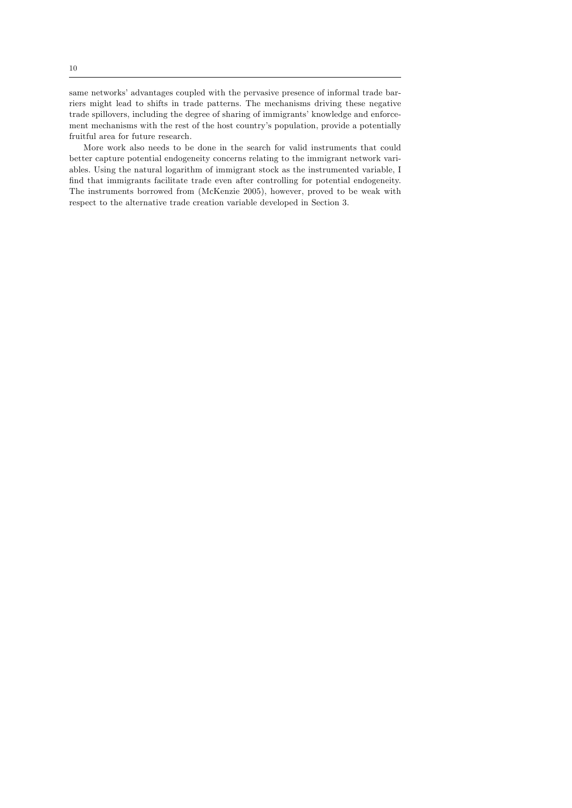same networks' advantages coupled with the pervasive presence of informal trade barriers might lead to shifts in trade patterns. The mechanisms driving these negative trade spillovers, including the degree of sharing of immigrants' knowledge and enforcement mechanisms with the rest of the host countryís population, provide a potentially fruitful area for future research.

More work also needs to be done in the search for valid instruments that could better capture potential endogeneity concerns relating to the immigrant network variables. Using the natural logarithm of immigrant stock as the instrumented variable, I find that immigrants facilitate trade even after controlling for potential endogeneity. The instruments borrowed from (McKenzie 2005), however, proved to be weak with respect to the alternative trade creation variable developed in Section 3.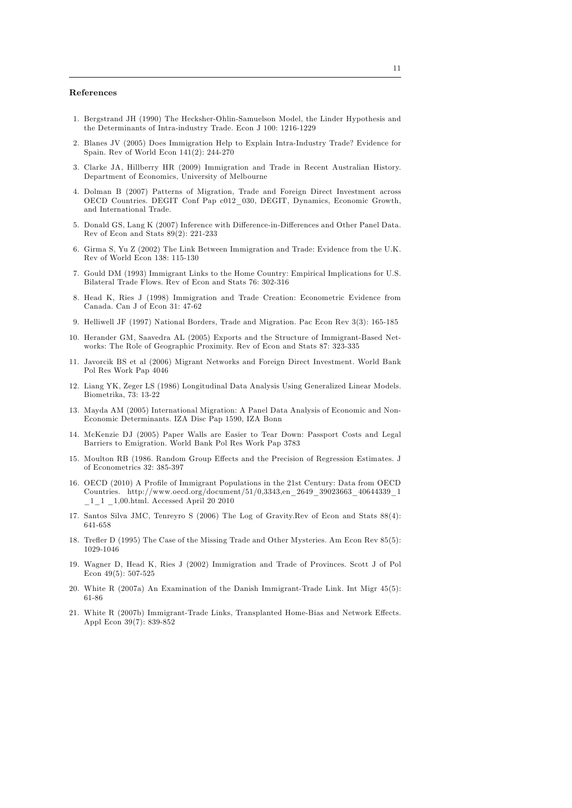# References

- 1. Bergstrand JH (1990) The Hecksher-Ohlin-Samuelson Model, the Linder Hypothesis and the Determinants of Intra-industry Trade. Econ J 100: 1216-1229
- 2. Blanes JV (2005) Does Immigration Help to Explain Intra-Industry Trade? Evidence for Spain. Rev of World Econ 141(2): 244-270
- 3. Clarke JA, Hillberry HR (2009) Immigration and Trade in Recent Australian History. Department of Economics, University of Melbourne
- 4. Dolman B (2007) Patterns of Migration, Trade and Foreign Direct Investment across OECD Countries. DEGIT Conf Pap c012\_030, DEGIT, Dynamics, Economic Growth, and International Trade.
- 5. Donald GS, Lang K (2007) Inference with Difference-in-Differences and Other Panel Data. Rev of Econ and Stats 89(2): 221-233
- 6. Girma S, Yu Z (2002) The Link Between Immigration and Trade: Evidence from the U.K. Rev of World Econ 138: 115-130
- 7. Gould DM (1993) Immigrant Links to the Home Country: Empirical Implications for U.S. Bilateral Trade Flows. Rev of Econ and Stats 76: 302-316
- 8. Head K, Ries J (1998) Immigration and Trade Creation: Econometric Evidence from Canada. Can J of Econ 31: 47-62
- 9. Helliwell JF (1997) National Borders, Trade and Migration. Pac Econ Rev 3(3): 165-185
- 10. Herander GM, Saavedra AL (2005) Exports and the Structure of Immigrant-Based Networks: The Role of Geographic Proximity. Rev of Econ and Stats 87: 323-335
- 11. Javorcik BS et al (2006) Migrant Networks and Foreign Direct Investment. World Bank Pol Res Work Pap 4046
- 12. Liang YK, Zeger LS (1986) Longitudinal Data Analysis Using Generalized Linear Models. Biometrika, 73: 13-22
- 13. Mayda AM (2005) International Migration: A Panel Data Analysis of Economic and Non-Economic Determinants. IZA Disc Pap 1590, IZA Bonn
- 14. McKenzie DJ (2005) Paper Walls are Easier to Tear Down: Passport Costs and Legal Barriers to Emigration. World Bank Pol Res Work Pap 3783
- 15. Moulton RB (1986. Random Group Effects and the Precision of Regression Estimates. J of Econometrics 32: 385-397
- 16. OECD (2010) A Profile of Immigrant Populations in the 21st Century: Data from OECD Countries. http://www.oecd.org/document/51/0,3343,en\_2649\_39023663\_40644339\_1 \_1\_1 \_1,00.html. Accessed April 20 2010
- 17. Santos Silva JMC, Tenreyro S (2006) The Log of Gravity.Rev of Econ and Stats 88(4): 641-658
- 18. Trefler D (1995) The Case of the Missing Trade and Other Mysteries. Am Econ Rev 85(5): 1029-1046
- 19. Wagner D, Head K, Ries J (2002) Immigration and Trade of Provinces. Scott J of Pol Econ 49(5): 507-525
- 20. White R (2007a) An Examination of the Danish Immigrant-Trade Link. Int Migr 45(5): 61-86
- 21. White R (2007b) Immigrant-Trade Links, Transplanted Home-Bias and Network Effects. Appl Econ 39(7): 839-852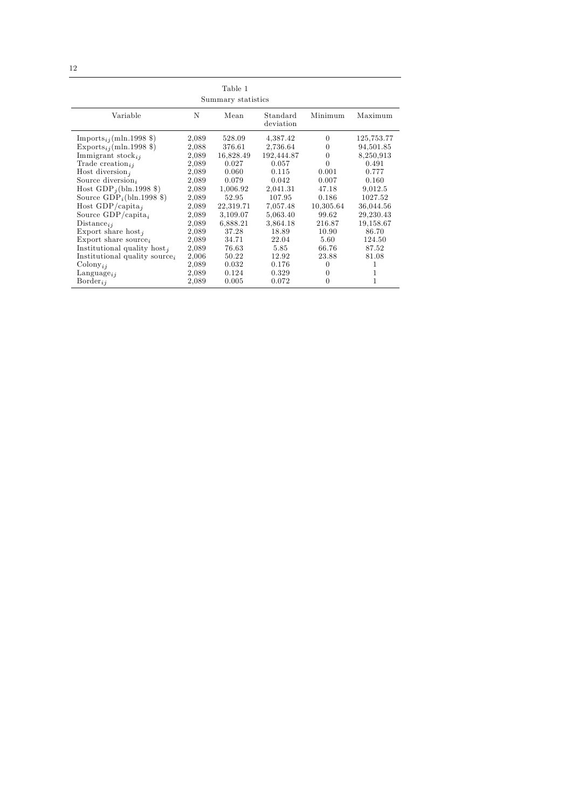|                                           |       | Table 1            |                       |           |            |
|-------------------------------------------|-------|--------------------|-----------------------|-----------|------------|
|                                           |       | Summary statistics |                       |           |            |
| Variable                                  | N     | Mean               | Standard<br>deviation | Minimum   | Maximum    |
| Imports <sub>ij</sub> (mln.1998 \$)       | 2,089 | 528.09             | 4,387.42              | $\Omega$  | 125,753.77 |
| Exports <sub>ij</sub> (mln.1998 \$)       | 2,088 | 376.61             | 2,736.64              | $\Omega$  | 94,501.85  |
| Immigrant stock $_{ii}$                   | 2,089 | 16,828.49          | 192,444.87            | $\theta$  | 8,250,913  |
| Trade creation <sub>ii</sub>              | 2,089 | 0.027              | 0.057                 | $\theta$  | 0.491      |
| Host diversion <sub>j</sub>               | 2,089 | 0.060              | 0.115                 | 0.001     | 0.777      |
| Source diversion,                         | 2,089 | 0.079              | 0.042                 | 0.007     | 0.160      |
| Host $GDP_i(\text{bln}.1998 \text{$ })    | 2,089 | 1,006.92           | 2,041.31              | 47.18     | 9,012.5    |
| Source $GDP_i(\text{bln}.1998 \text{ $})$ | 2,089 | 52.95              | 107.95                | 0.186     | 1027.52    |
| Host GDP/capita <sub>i</sub>              | 2,089 | 22,319.71          | 7,057.48              | 10,305.64 | 36,044.56  |
| Source $GDP/c$ apita <sub>i</sub>         | 2,089 | 3,109.07           | 5,063.40              | 99.62     | 29,230.43  |
| Distance <sub>ij</sub>                    | 2,089 | 6,888.21           | 3,864.18              | 216.87    | 19,158.67  |
| Export share host,                        | 2,089 | 37.28              | 18.89                 | 10.90     | 86.70      |
| Export share source,                      | 2,089 | 34.71              | 22.04                 | 5.60      | 124.50     |
| Institutional quality host,               | 2,089 | 76.63              | 5.85                  | 66.76     | 87.52      |
| Institutional quality source <sub>i</sub> | 2,006 | 50.22              | 12.92                 | 23.88     | 81.08      |
| $\mathrm{Colony}_{ij}$                    | 2,089 | 0.032              | 0.176                 | 0         |            |
| $\text{Language}_{ij}$                    | 2,089 | 0.124              | 0.329                 | $\theta$  | 1          |
| $Border_{ii}$                             | 2,089 | 0.005              | 0.072                 | $\theta$  | 1          |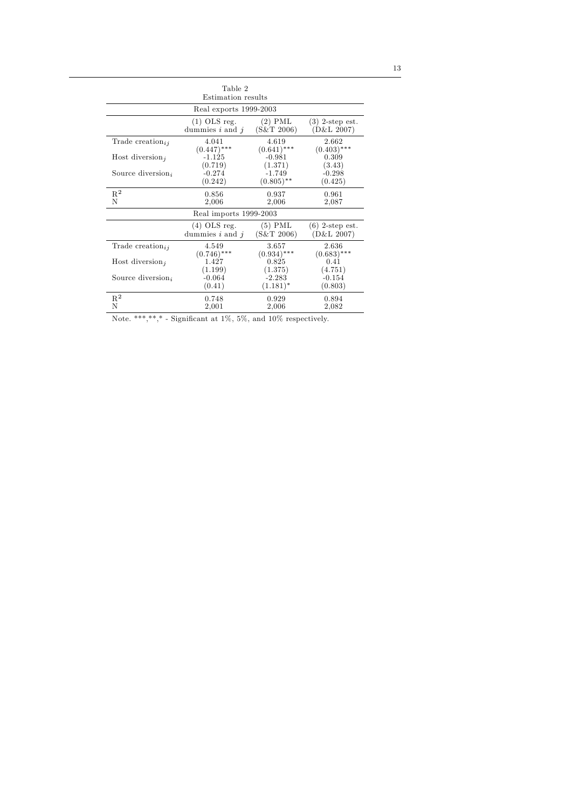| Table 2                      |                        |               |                   |  |  |  |
|------------------------------|------------------------|---------------|-------------------|--|--|--|
| Estimation results           |                        |               |                   |  |  |  |
|                              | Real exports 1999-2003 |               |                   |  |  |  |
|                              | $(1)$ OLS reg.         | $(2)$ PML     | $(3)$ 2-step est. |  |  |  |
|                              | dummies $i$ and $j$    | (S&T 2006)    | (D&L 2007)        |  |  |  |
| Trade creation <sub>ii</sub> | 4.041                  | 4.619         | 2.662             |  |  |  |
|                              | $(0.447)$ ***          | $(0.641)$ *** | $(0.403)$ ***     |  |  |  |
| Host diversion,              | $-1.125$               | $-0.981$      | 0.309             |  |  |  |
| Source diversion,            | (0.719)                | (1.371)       | (3.43)            |  |  |  |
|                              | $-0.274$               | $-1.749$      | $-0.298$          |  |  |  |
|                              | (0.242)                | $(0.805)$ **  | (0.425)           |  |  |  |
| $R^2$                        | 0.856                  | 0.937         | 0.961             |  |  |  |
| N                            | 2,006                  | 2,006         | 2,087             |  |  |  |
|                              | Real imports 1999-2003 |               |                   |  |  |  |
|                              | $(4)$ OLS reg.         | $(5)$ PML     | $(6)$ 2-step est. |  |  |  |
|                              | dummies $i$ and $j$    | (S&T 2006)    | (D&L 2007)        |  |  |  |
| Trade creation <sub>ii</sub> | 4.549                  | 3.657         | 2.636             |  |  |  |
|                              | $(0.746)$ ***          | $(0.934)$ *** | $(0.683)$ ***     |  |  |  |
| Host diversion,              | 1.427                  | 0.825         | 0.41              |  |  |  |
|                              | (1.199)                | (1.375)       | (4.751)           |  |  |  |
| Source diversion,            | $-0.064$               | $-2.283$      | $-0.154$          |  |  |  |
|                              | (0.41)                 | $(1.181)^*$   | (0.803)           |  |  |  |
| $R^2$                        | 0.748                  | 0.929         | 0.894             |  |  |  |
| N                            | 2,001                  | 2,006         | 2,082             |  |  |  |
|                              |                        |               |                   |  |  |  |

Note. \*\*\*,\*\*,\* - Significant at  $1\%$ ,  $5\%$ , and  $10\%$  respectively.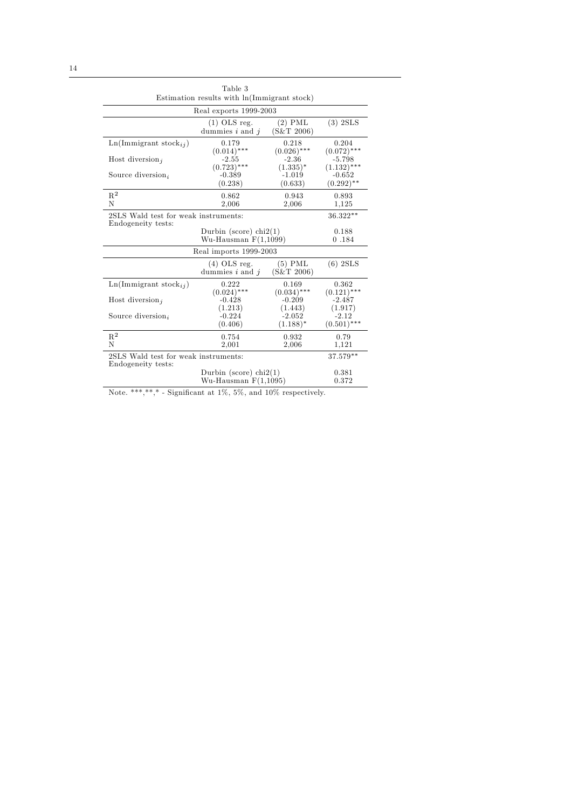| Table 3<br>Estimation results with $\ln(\text{Immigrant stock})$ |                                       |                         |                           |  |  |
|------------------------------------------------------------------|---------------------------------------|-------------------------|---------------------------|--|--|
|                                                                  | Real exports 1999-2003                |                         |                           |  |  |
|                                                                  | $(1)$ OLS reg.<br>dummies $i$ and $j$ | $(2)$ PML<br>(S&T 2006) | $(3)$ 2SLS                |  |  |
| $\text{Ln}(\text{Immigrant stock}_{ij})$                         | 0.179<br>$(0.014)$ ***                | 0.218<br>$(0.026)$ ***  | 0.204<br>$(0.072)$ ***    |  |  |
| Host diversion,                                                  | $-2.55$<br>$(0.723)$ ***              | $-2.36$<br>$(1.335)^*$  | $-5.798$<br>$(1.132)$ *** |  |  |
| Source diversion <sub>i</sub>                                    | $-0.389$<br>(0.238)                   | -1.019<br>(0.633)       | $-0.652$<br>$(0.292)$ **  |  |  |
| $R^2$<br>N                                                       | 0.862<br>2,006                        | 0.943<br>2,006          | 0.893<br>1,125            |  |  |
| Endogeneity tests:                                               | 2SLS Wald test for weak instruments:  |                         |                           |  |  |
|                                                                  | 0.188<br>0.184                        |                         |                           |  |  |
|                                                                  | Real imports 1999-2003                |                         |                           |  |  |
|                                                                  | $(4)$ OLS reg.<br>dummies $i$ and $j$ | $(5)$ PML<br>(S&T 2006) | $(6)$ 2SLS                |  |  |
| $\text{Ln}(\text{Immigrant stock}_{ii})$                         | 0.222<br>$(0.024)$ ***                | 0.169<br>$(0.034)$ ***  | 0.362<br>$(0.121)$ ***    |  |  |
| Host diversion,                                                  | $-0.428$<br>(1.213)                   | $-0.209$<br>(1.443)     | $-2.487$<br>(1.917)       |  |  |
| Source diversion,                                                | $-0.224$<br>(0.406)                   | $-2.052$<br>$(1.188)^*$ | $-2.12$<br>$(0.501)$ ***  |  |  |
| $R^2$<br>N                                                       | 0.754<br>2,001                        | 0.932<br>2,006          | 0.79<br>1,121             |  |  |
| 2SLS Wald test for weak instruments:<br>Endogeneity tests:       | 37.579**                              |                         |                           |  |  |
|                                                                  | 0.381<br>0.372                        |                         |                           |  |  |

Note. \*\*\*,\*\*,\* - Significant at 1%, 5%, and 10% respectively.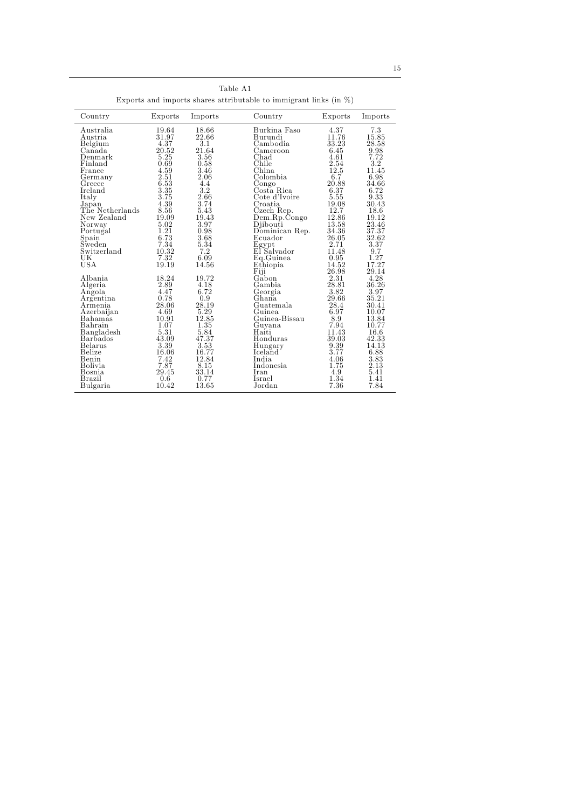| Exports and imports shares attributable to immigrant links (in $\%$ ) |                                                |                                               |                                                                     |                                                         |                                                           |
|-----------------------------------------------------------------------|------------------------------------------------|-----------------------------------------------|---------------------------------------------------------------------|---------------------------------------------------------|-----------------------------------------------------------|
| Country                                                               | Exports                                        | Imports                                       | Country                                                             | Exports                                                 | Imports                                                   |
| Australia                                                             | 19.64                                          | 18.66                                         | Burkina Faso                                                        | 4.37                                                    | 7.3                                                       |
| Austria                                                               | 31.97                                          | 22.66                                         | Burundi                                                             | 11.76                                                   | 15.85                                                     |
| Belgium                                                               | 4.37                                           | 3.1                                           | Cambodia                                                            | 33.23                                                   | 28.58                                                     |
| Canada                                                                | 20.52                                          | 21.64                                         | Cameroon                                                            | 6.45                                                    | 9.98                                                      |
| Denmark                                                               | 5.25                                           | 3.56                                          | Chad                                                                | 4.61                                                    | 7.72                                                      |
| Finland                                                               | 0.69                                           | 0.58                                          | Chile                                                               | 2.54                                                    | 3.2                                                       |
| France                                                                | 4.59                                           | 3.46                                          | China                                                               | 12.5                                                    | 11.45                                                     |
| Germany                                                               | 2.51                                           | 2.06                                          | Colombia                                                            | 6.7                                                     | 6.98                                                      |
| Greece                                                                | 6.53                                           | 4.4                                           | Congo                                                               | 20.88                                                   | 34.66                                                     |
| Ireland                                                               | 3.35                                           | 3.2                                           | Costa Rica                                                          | 6.37                                                    | 6.72                                                      |
| Italy                                                                 | 3.75                                           | 2.66                                          | Cote d'Ivoire                                                       | 5.55                                                    | 9.33                                                      |
| Japan                                                                 | 4.39                                           | 3.74                                          | Croatia                                                             | 19.08                                                   | 30.43                                                     |
| The Netherlands                                                       | 8.56                                           | 5.43                                          | Czech Rep.                                                          | 12.7                                                    | 18.6                                                      |
| New Zealand                                                           | 19.09                                          | 19.43                                         | Dem.Rp.Congo                                                        | 12.86                                                   | 19.12                                                     |
| Norway                                                                | 5.02                                           | 3.97                                          | Djibouti                                                            | 13.58                                                   | 23.46                                                     |
| Portugal                                                              | 1.21                                           | 0.98                                          | Dominican Rep.                                                      | 34.36                                                   | 37.37                                                     |
| Spain                                                                 | 6.73                                           | 3.68                                          | Ecuador                                                             | 26.05                                                   | 32.62                                                     |
| Sweden                                                                | 7.34                                           | 5.34                                          | Egypt                                                               | 2.71                                                    | 3.37                                                      |
| Switzerland                                                           | 10.32                                          | 7.2                                           | El Salvador                                                         | 11.48                                                   | 9.7                                                       |
| UК                                                                    | 7.32                                           | 6.09                                          | Eq. Guinea                                                          | 0.95                                                    | 1.27                                                      |
| USA                                                                   | 19.19                                          | 14.56                                         | Ethiopia                                                            | 14.52                                                   | 17.27                                                     |
| Albania<br>Algeria<br>Angola<br>Argentina<br>Armenia<br>Azerbaijan    | 18.24<br>2.89<br>4.47<br>0.78<br>28.06<br>4.69 | 19.72<br>4.18<br>6.72<br>0.9<br>28.19<br>5.29 | Fiji<br>Gåbon<br>Gambia<br>Georgia<br>Ghana.<br>Guatemala<br>Guinea | 26.98<br>2.31<br>28.81<br>3.82<br>29.66<br>28.4<br>6.97 | 29.14<br>4.28<br>36.26<br>3.97<br>35.21<br>30.41<br>10.07 |
| Bahamas                                                               | 10.91                                          | 12.85                                         | Guinea-Bissau                                                       | 8.9                                                     | 13.84                                                     |
| Bahrain                                                               | 1.07                                           | 1.35                                          | Guyana                                                              | 7.94                                                    | 10.77                                                     |
| Bangladesh                                                            | 5.31                                           | 5.84                                          | Haiti                                                               | 11.43                                                   | 16.6                                                      |
| <b>Barbados</b>                                                       | 43.09                                          | 47.37                                         | Honduras                                                            | 39.03                                                   | 42.33                                                     |
| Belarus                                                               | 3.39                                           | 3.53                                          | Hungary                                                             | 9.39                                                    | 14.13                                                     |
| Belize                                                                | 16.06                                          | 16.77                                         | Iceland                                                             | 3.77                                                    | 6.88                                                      |
| Benin                                                                 | 7.42                                           | 12.84                                         | India                                                               | 4.06                                                    | 3.83                                                      |
| <b>Bolivia</b>                                                        | 7.87                                           | 8.15                                          | Indonesia                                                           | 1.75                                                    | 2.13                                                      |
| Bosnia                                                                | 29.45                                          | 33.14                                         | Iran                                                                | 4.9                                                     | 5.41                                                      |
| Brazil                                                                | 0.6                                            | 0.77                                          | Israel                                                              | 1.34                                                    | 1.41                                                      |
| Bulgaria                                                              | 10.42                                          | 13.65                                         | Jordan                                                              | 7.36                                                    | 7.84                                                      |

Table A1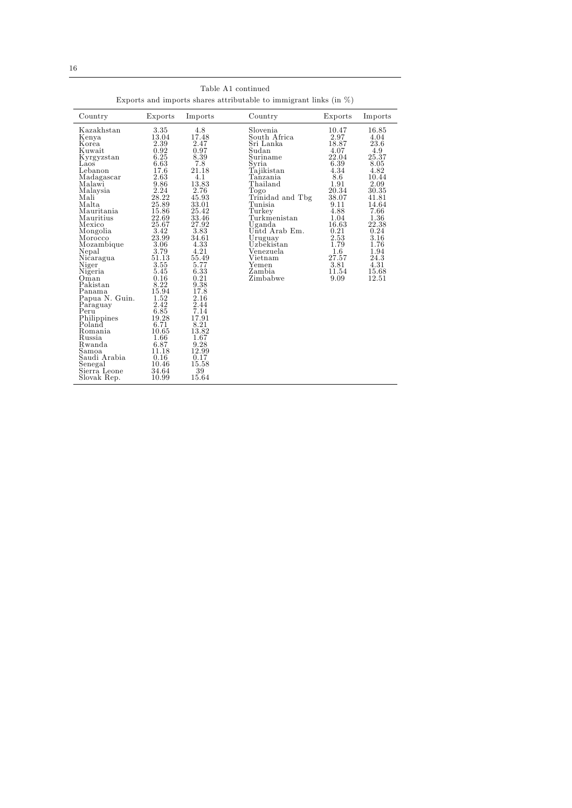| Exports and imports shares attributable to immigrant links (in $\%$ ) |         |         |                  |         |         |
|-----------------------------------------------------------------------|---------|---------|------------------|---------|---------|
| Country                                                               | Exports | Imports | Country          | Exports | Imports |
| Kazakhstan                                                            | 3.35    | 4.8     | Slovenia.        | 10.47   | 16.85   |
| Kenya                                                                 | 13.04   | 17.48   | South Africa     | 2.97    | 4.04    |
| Korea                                                                 | 2.39    | 2.47    | Sri Lanka        | 18.87   | 23.6    |
| Kuwait                                                                | 0.92    | 0.97    | Sudan            | 4.07    | 4.9     |
| Kyrgyzstan                                                            | 6.25    | 8.39    | Suriname         | 22.04   | 25.37   |
| Laos                                                                  | 6.63    | 7.8     | Syria            | 6.39    | 8.05    |
| Lebanon                                                               | 17.6    | 21.18   | Tajikistan       | 4.34    | 4.82    |
| Madagascar                                                            | 2.63    | 4.1     | Tanzania         | 8.6     | 10.44   |
| Malawi                                                                | 9.86    | 13.83   | Thailand         | 1.91    | 2.09    |
| Malaysia                                                              | 2.24    | 2.76    | Togo             | 20.34   | 30.35   |
| Mali                                                                  | 28.22   | 45.93   | Trinidad and Tbg | 38.07   | 41.81   |
| Malta                                                                 | 25.89   | 33.01   | Tunisia          | 9.11    | 14.64   |
| Mauritania                                                            | 15.86   | 25.42   | Turkey           | 4.88    | 7.66    |
| Mauritius                                                             | 22.69   | 33.46   | Turkmenistan     | 1.04    | 1.36    |
| Mexico                                                                | 25.67   | 27.92   | Uganda           | 16.63   | 22.38   |
| Mongolia                                                              | 3.42    | 3.83    | Untd Arab Em.    | 0.21    | 0.24    |
| Morocco                                                               | 23.99   | 34.61   | Uruguay          | 2.53    | 3.16    |
| Mozambique                                                            | 3.06    | 4.33    | Uzbekistan       | 1.79    | 1.76    |
| Nepal                                                                 | 3.79    | 4.21    | Venezuela        | $1.6\,$ | 1.94    |
| Nicaragua                                                             | 51.13   | 55.49   | Vietnam          | 27.57   | 24.3    |
| Niger                                                                 | 3.55    | 5.77    | Yemen            | 3.81    | 4.31    |
| Nigeria                                                               | 5.45    | 6.33    | Zambia           | 11.54   | 15.68   |
| Oman                                                                  | 0.16    | 0.21    | Zimbabwe         | 9.09    | 12.51   |
| Pakistan                                                              | 8.22    | 9.38    |                  |         |         |
| Panama                                                                | 15.94   | 17.8    |                  |         |         |
| Papua N. Guin.                                                        | 1.52    | 2.16    |                  |         |         |
| Paraguay                                                              | 2.42    | 2.44    |                  |         |         |
| Peru                                                                  | 6.85    | 7.14    |                  |         |         |
| Philippines                                                           | 19.28   | 17.91   |                  |         |         |
| Poland                                                                | 6.71    | 8.21    |                  |         |         |
| Romania                                                               | 10.65   | 13.82   |                  |         |         |
| Russia                                                                | 1.66    | 1.67    |                  |         |         |
| Rwanda                                                                | 6.87    | 9.28    |                  |         |         |
| Samoa                                                                 | 11.18   | 12.99   |                  |         |         |
| Saudi Arabia                                                          | 0.16    | 0.17    |                  |         |         |
| Senegal                                                               | 10.46   | 15.58   |                  |         |         |
| Sierra Leone                                                          | 34.64   | 39      |                  |         |         |
| Slovak Rep.                                                           | 10.99   | 15.64   |                  |         |         |

Table A1 continued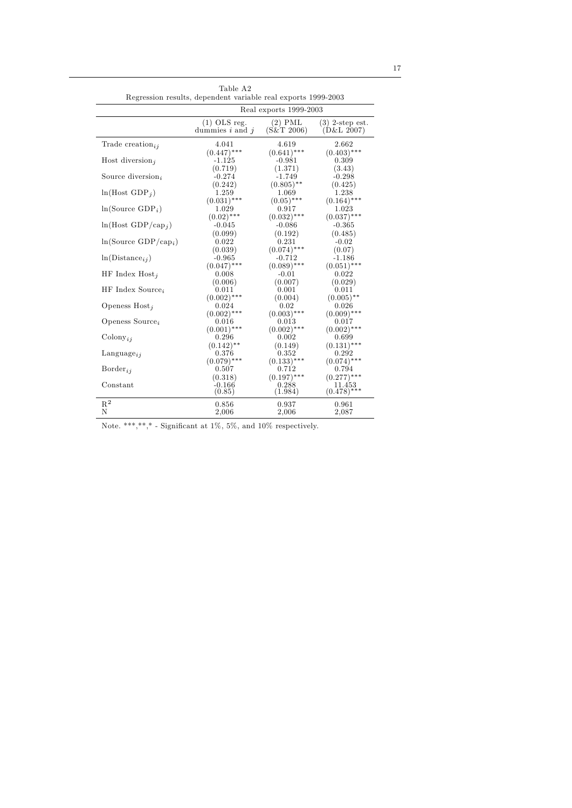| Real exports 1999-2003<br>$(1)$ OLS reg.<br>$(2)$ PML<br>$(3)$ 2-step est.                                                  |  |
|-----------------------------------------------------------------------------------------------------------------------------|--|
|                                                                                                                             |  |
| (S&T2006)<br>(D&L 2007)<br>dummies $i$ and $j$                                                                              |  |
| Trade creation <sub>ii</sub><br>4.041<br>4.619<br>2.662<br>$(0.641)$ ***<br>$(0.403)$ ***<br>$(0.447)$ ***                  |  |
| Host diversion,<br>$-1.125$<br>$-0.981$<br>0.309<br>(0.719)<br>(1.371)<br>(3.43)                                            |  |
| Source diversion <sub>i</sub><br>$-0.274$<br>$-0.298$<br>$-1.749$<br>(0.242)<br>$(0.805)$ **<br>(0.425)                     |  |
| $ln(Host GDP_i)$<br>1.238<br>1.259<br>1.069<br>$(0.031)$ ***<br>$(0.05)$ ***<br>$(0.164)$ ***                               |  |
| $ln(Source GDP_i)$<br>1.029<br>1.023<br>0.917<br>$(0.02)$ ***<br>$(0.032)$ ***<br>$(0.037)$ ***                             |  |
| $ln(Host GDP/cap_i)$<br>$-0.045$<br>$-0.086$<br>$-0.365$<br>(0.099)<br>(0.192)<br>(0.485)                                   |  |
| $ln(Source GDP/cap_i)$<br>0.022<br>0.231<br>$-0.02$<br>$(0.074)$ ***<br>(0.039)<br>(0.07)                                   |  |
| $ln(Distance_{ij})$<br>$-0.965$<br>$-0.712$<br>$-1.186$<br>$(0.089)$ ***                                                    |  |
| $(0.047)$ ***<br>$(0.051)$ ***<br>HF Index $Host_i$<br>0.022<br>0.008<br>$-0.01$<br>(0.029)                                 |  |
| (0.006)<br>(0.007)<br>$HF$ Index Source <sub>i</sub><br>0.001<br>0.011<br>0.011<br>$(0.002)$ ***<br>$(0.005)$ **<br>(0.004) |  |
| Openess $Host_j$<br>0.024<br>0.02<br>0.026<br>$(0.002)$ ***<br>$(0.003)$ ***<br>$(0.009)$ ***                               |  |
| Openess Source <sub>i</sub><br>0.013<br>0.016<br>0.017<br>$(0.001)$ ***<br>$(0.002)$ ***<br>$(0.002)$ ***                   |  |
| $\mathrm{Colony}_{ii}$<br>0.296<br>0.002<br>0.699<br>$(0.131)$ ***<br>$(0.142)$ **<br>(0.149)                               |  |
| 0.376<br>0.352<br>0.292<br>$\text{Language}_{ij}$<br>$(0.074)$ ***<br>$(0.079)$ ***<br>$(0.133)$ ***                        |  |
| $\mathrm{Border}_{ii}$<br>0.507<br>0.712<br>0.794<br>$(0.197)$ ***<br>$(0.277)$ ***<br>(0.318)                              |  |
| Constant<br>$-0.166$<br>0.288<br>11.453<br>$(0.478)$ ***<br>(0.85)<br>(1.984)                                               |  |
| $\mathbf{R}^2$<br>0.856<br>0.937<br>0.961<br>N<br>2,087<br>2,006<br>2,006                                                   |  |

Note. \*\*\*,\*\*,\* - Significant at  $1\%$ ,  $5\%$ , and  $10\%$  respectively.